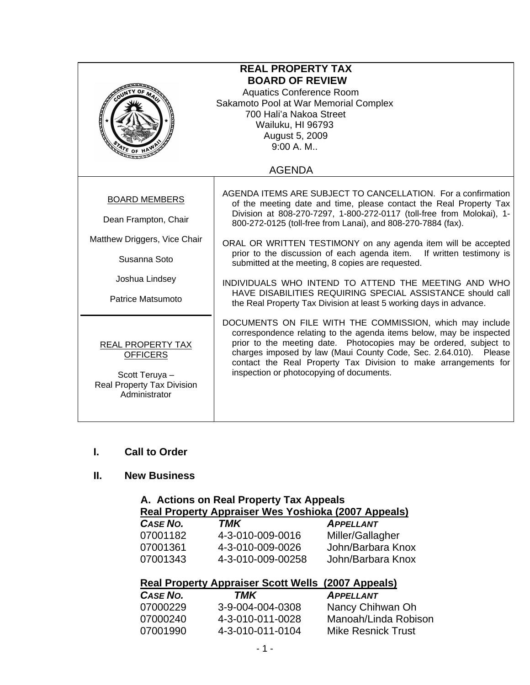| <b>REAL PROPERTY TAX</b><br><b>BOARD OF REVIEW</b><br><b>Aquatics Conference Room</b><br>Sakamoto Pool at War Memorial Complex<br>700 Hali'a Nakoa Street<br>Wailuku, HI 96793<br>August 5, 2009<br>9:00 A. M.<br>$\frac{1}{2}$ of |                                                                                                                                                                                                                                                                                                                                                                                                                                                                                                                                                                                                                                                                          |  |
|------------------------------------------------------------------------------------------------------------------------------------------------------------------------------------------------------------------------------------|--------------------------------------------------------------------------------------------------------------------------------------------------------------------------------------------------------------------------------------------------------------------------------------------------------------------------------------------------------------------------------------------------------------------------------------------------------------------------------------------------------------------------------------------------------------------------------------------------------------------------------------------------------------------------|--|
|                                                                                                                                                                                                                                    | <b>AGENDA</b>                                                                                                                                                                                                                                                                                                                                                                                                                                                                                                                                                                                                                                                            |  |
| <b>BOARD MEMBERS</b><br>Dean Frampton, Chair<br>Matthew Driggers, Vice Chair<br>Susanna Soto<br>Joshua Lindsey<br>Patrice Matsumoto                                                                                                | AGENDA ITEMS ARE SUBJECT TO CANCELLATION. For a confirmation<br>of the meeting date and time, please contact the Real Property Tax<br>Division at 808-270-7297, 1-800-272-0117 (toll-free from Molokai), 1-<br>800-272-0125 (toll-free from Lanai), and 808-270-7884 (fax).<br>ORAL OR WRITTEN TESTIMONY on any agenda item will be accepted<br>prior to the discussion of each agenda item.<br>If written testimony is<br>submitted at the meeting, 8 copies are requested.<br>INDIVIDUALS WHO INTEND TO ATTEND THE MEETING AND WHO<br>HAVE DISABILITIES REQUIRING SPECIAL ASSISTANCE should call<br>the Real Property Tax Division at least 5 working days in advance. |  |
| REAL PROPERTY TAX<br><b>OFFICERS</b><br>Scott Teruya -<br>Real Property Tax Division<br>Administrator                                                                                                                              | DOCUMENTS ON FILE WITH THE COMMISSION, which may include<br>correspondence relating to the agenda items below, may be inspected<br>prior to the meeting date. Photocopies may be ordered, subject to<br>charges imposed by law (Maui County Code, Sec. 2.64.010). Please<br>contact the Real Property Tax Division to make arrangements for<br>inspection or photocopying of documents.                                                                                                                                                                                                                                                                                  |  |

#### **I. Call to Order**

# **II. New Business**

### **A. Actions on Real Property Tax Appeals Real Property Appraiser Wes Yoshioka (2007 Appeals)** *CASE NO. TMK APPELLANT*

| .        | .                 | , ,, , , , , , , , |
|----------|-------------------|--------------------|
| 07001182 | 4-3-010-009-0016  | Miller/Gallagher   |
| 07001361 | 4-3-010-009-0026  | John/Barbara Knox  |
| 07001343 | 4-3-010-009-00258 | John/Barbara Knox  |

# **Real Property Appraiser Scott Wells (2007 Appeals)**

| <b>CASE NO.</b> | TMK              | <b>APPELLANT</b>          |
|-----------------|------------------|---------------------------|
| 07000229        | 3-9-004-004-0308 | Nancy Chihwan Oh          |
| 07000240        | 4-3-010-011-0028 | Manoah/Linda Robison      |
| 07001990        | 4-3-010-011-0104 | <b>Mike Resnick Trust</b> |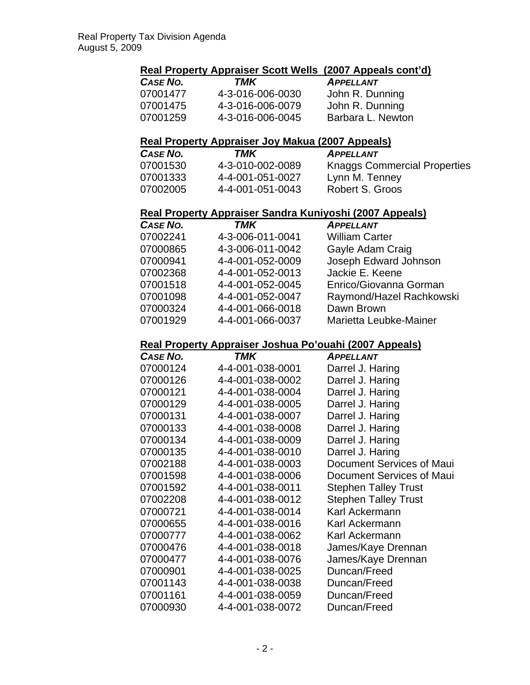# **Real Property Appraiser Scott Wells (2007 Appeals cont'd)**

| <b>CASE NO.</b> | TMK              | <b>APPELLANT</b>  |
|-----------------|------------------|-------------------|
| 07001477        | 4-3-016-006-0030 | John R. Dunning   |
| 07001475        | 4-3-016-006-0079 | John R. Dunning   |
| 07001259        | 4-3-016-006-0045 | Barbara L. Newton |

### **Real Property Appraiser Joy Makua (2007 Appeals)**

| <b>CASE NO.</b> | TMK              | <b>APPELLANT</b>                    |
|-----------------|------------------|-------------------------------------|
| 07001530        | 4-3-010-002-0089 | <b>Knaggs Commercial Properties</b> |
| 07001333        | 4-4-001-051-0027 | Lynn M. Tenney                      |
| 07002005        | 4-4-001-051-0043 | Robert S. Groos                     |

## **Real Property Appraiser Sandra Kuniyoshi (2007 Appeals)**

| CASE NO. | <b>TMK</b>       | <b>APPELLANT</b>         |
|----------|------------------|--------------------------|
| 07002241 | 4-3-006-011-0041 | <b>William Carter</b>    |
| 07000865 | 4-3-006-011-0042 | Gayle Adam Craig         |
| 07000941 | 4-4-001-052-0009 | Joseph Edward Johnson    |
| 07002368 | 4-4-001-052-0013 | Jackie E. Keene          |
| 07001518 | 4-4-001-052-0045 | Enrico/Giovanna Gorman   |
| 07001098 | 4-4-001-052-0047 | Raymond/Hazel Rachkowski |
| 07000324 | 4-4-001-066-0018 | Dawn Brown               |
| 07001929 | 4-4-001-066-0037 | Marietta Leubke-Mainer   |
|          |                  |                          |

## **Real Property Appraiser Joshua Po'ouahi (2007 Appeals)**

| CASE NO. | TMK              | <b>APPELLANT</b>            |
|----------|------------------|-----------------------------|
| 07000124 | 4-4-001-038-0001 | Darrel J. Haring            |
| 07000126 | 4-4-001-038-0002 | Darrel J. Haring            |
| 07000121 | 4-4-001-038-0004 | Darrel J. Haring            |
| 07000129 | 4-4-001-038-0005 | Darrel J. Haring            |
| 07000131 | 4-4-001-038-0007 | Darrel J. Haring            |
| 07000133 | 4-4-001-038-0008 | Darrel J. Haring            |
| 07000134 | 4-4-001-038-0009 | Darrel J. Haring            |
| 07000135 | 4-4-001-038-0010 | Darrel J. Haring            |
| 07002188 | 4-4-001-038-0003 | Document Services of Maui   |
| 07001598 | 4-4-001-038-0006 | Document Services of Maui   |
| 07001592 | 4-4-001-038-0011 | <b>Stephen Talley Trust</b> |
| 07002208 | 4-4-001-038-0012 | <b>Stephen Talley Trust</b> |
| 07000721 | 4-4-001-038-0014 | Karl Ackermann              |
| 07000655 | 4-4-001-038-0016 | Karl Ackermann              |
| 07000777 | 4-4-001-038-0062 | Karl Ackermann              |
| 07000476 | 4-4-001-038-0018 | James/Kaye Drennan          |
| 07000477 | 4-4-001-038-0076 | James/Kaye Drennan          |
| 07000901 | 4-4-001-038-0025 | Duncan/Freed                |
| 07001143 | 4-4-001-038-0038 | Duncan/Freed                |
| 07001161 | 4-4-001-038-0059 | Duncan/Freed                |
| 07000930 | 4-4-001-038-0072 | Duncan/Freed                |